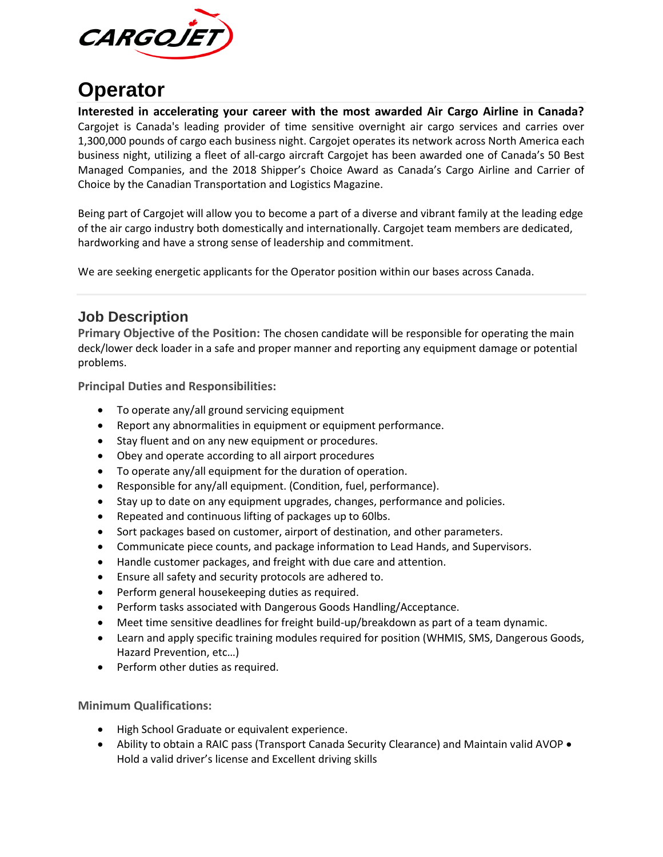

## **Operator**

**Interested in accelerating your career with the most awarded Air Cargo Airline in Canada?** Cargojet is Canada's leading provider of time sensitive overnight air cargo services and carries over 1,300,000 pounds of cargo each business night. Cargojet operates its network across North America each business night, utilizing a fleet of all-cargo aircraft Cargojet has been awarded one of Canada's 50 Best Managed Companies, and the 2018 Shipper's Choice Award as Canada's Cargo Airline and Carrier of Choice by the Canadian Transportation and Logistics Magazine.

Being part of Cargojet will allow you to become a part of a diverse and vibrant family at the leading edge of the air cargo industry both domestically and internationally. Cargojet team members are dedicated, hardworking and have a strong sense of leadership and commitment.

We are seeking energetic applicants for the Operator position within our bases across Canada.

## **Job Description**

**Primary Objective of the Position:** The chosen candidate will be responsible for operating the main deck/lower deck loader in a safe and proper manner and reporting any equipment damage or potential problems.

**Principal Duties and Responsibilities:**

- To operate any/all ground servicing equipment
- Report any abnormalities in equipment or equipment performance.
- Stay fluent and on any new equipment or procedures.
- Obey and operate according to all airport procedures
- To operate any/all equipment for the duration of operation.
- Responsible for any/all equipment. (Condition, fuel, performance).
- Stay up to date on any equipment upgrades, changes, performance and policies.
- Repeated and continuous lifting of packages up to 60lbs.
- Sort packages based on customer, airport of destination, and other parameters.
- Communicate piece counts, and package information to Lead Hands, and Supervisors.
- Handle customer packages, and freight with due care and attention.
- Ensure all safety and security protocols are adhered to.
- Perform general housekeeping duties as required.
- Perform tasks associated with Dangerous Goods Handling/Acceptance.
- Meet time sensitive deadlines for freight build-up/breakdown as part of a team dynamic.
- Learn and apply specific training modules required for position (WHMIS, SMS, Dangerous Goods, Hazard Prevention, etc…)
- Perform other duties as required.

**Minimum Qualifications:**

- High School Graduate or equivalent experience.
- Ability to obtain a RAIC pass (Transport Canada Security Clearance) and Maintain valid AVOP Hold a valid driver's license and Excellent driving skills